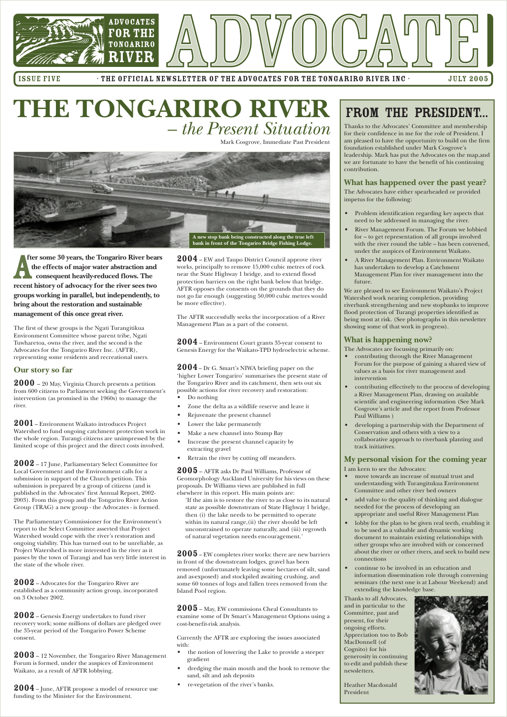

ISSUE FIVE FILE OFFICIAL NEWSLETTER OF THE ADVOCATES FOR THE TONGARIRO RIVER INC · THE 2005

# FROM THE PRESIDENT...

Thanks to the Advocates' Committee and membership for their confidence in me for the role of President. I am pleased to have the opportunity to build on the firm foundation established under Mark Cosgrove's leadership. Mark has put the Advocates on the map,and we are fortunate to have the benefit of his continuing contribution.

### **What has happened over the past year?**

The Advocates have either spearheaded or provided impetus for the following:

- Problem identification regarding key aspects that need to be addressed in managing the river.
- River Management Forum. The Forum we lobbied for – to get representation of all groups involved with the river round the table – has been convened, under the auspices of Environment Waikato.
- A River Management Plan. Environment Waikato has undertaken to develop a Catchment Management Plan for river management into the future.

We are pleased to see Environment Waikato's Project Watershed work nearing completion, providing riverbank strengthening and new stopbanks to improve flood protection of Turangi properties identified as being most at risk. (See photographs in this newsletter showing some of that work in progress).

#### **What is happening now?**

The Advocates are focussing primarily on:

- contributing through the River Management Forum for the purpose of gaining a shared view of values as a basis for river management and intervention
- contributing effectively to the process of developing a River Management Plan, drawing on available scientific and engineering information (See Mark Cosgrove's article and the report from Professor Paul Williams )
- developing a partnership with the Department of Conservation and others with a view to a collaborative approach to riverbank planting and track initiatives.

### **My personal vision for the coming year**

I am keen to see the Advocates:

- move towards an increase of mutual trust and understanding with Turangitukua Environment Committee and other river bed owners
- add value to the quality of thinking and dialogue needed for the process of developing an appropriate and useful River Management Plan
- lobby for the plan to be given real teeth, enabling it to be used as a valuable and dynamic working document to maintain existing relationships with

other groups who are involved with or concerned about the river or other rivers, and seek to build new connections

• continue to be involved in an education and information dissemination role through convening seminars (the next one is at Labour Weekend) and extending the knowledge base.

 $\bf 2004$  – EW and Taupo District Council approve river works, principally to remove 15,000 cubic metres of rock near the State Highway 1 bridge, and to extend flood protection barriers on the right bank below that bridge. AFTR opposes the consents on the grounds that they do not go far enough (suggesting 50,000 cubic metres would be more effective).

> Thanks to all Advocates, and in particular to the Committee, past and present, for their ongoing efforts. Appreciation too to Bob MacDonnell (of Cognito) for his generosity in continuing to edit and publish these newsletters.

 $2004$  – Environment Court grants 35-year consent to Genesis Energy for the Waikato-TPD hydroelectric scheme.

> Heather Macdonald President



**fter some 30 years, the Tongariro River bears the effects of major water abstraction and consequent heavily-reduced flows. The recent history of advocacy for the river sees two groups working in parallel, but independently, to bring about the restoration and sustainable management of this once great river.**

> $2005$  – AFTR asks Dr Paul Williams, Professor of Geomorphology Auckland University for his views on these proposals. Dr Williams views are published in full elsewhere in this report. His main points are:

The first of these groups is the Ngati Turangitikua Environment Committee whose parent tribe, Ngati Tuwharetoa, owns the river, and the second is the Advocates for the Tongariro River Inc. (AFTR), representing some residents and recreational users.

### **Our story so far**

 $2005$  – EW completes river works: there are new barriers in front of the downstream lodges, gravel has been removed (unfortunately leaving some hectares of silt, sand and as-exposed) and stockpiled awaiting crushing, and some 60 tonnes of logs and fallen trees removed from the Island Pool region.

 $2005$  – May, EW commissions Cheal Consultants to examine some of Dr Smart's Management Options using a cost-benefit-risk analysis.

2000 – 20 May, Virginia Church presents a petition from 600 citizens to Parliament seeking the Government's intervention (as promised in the 1960s) to manage the river.

2001 – Environment Waikato introduces Project Watershed to fund ongoing catchment protection work in the whole region. Turangi citizens are unimpressed by the limited scope of this project and the direct costs involved.

2002 – 17 June, Parliamentary Select Committee for Local Government and the Environment calls for a submission in support of the Church petition. This submission is prepared by a group of citizens (and is published in the Advocates' first Annual Report, 2002- 2003). From this group and the Tongariro River Action Group (TRAG) a new group - the Advocates - is formed.

The Parliamentary Commissioner for the Environment's report to the Select Committee asserted that Project Watershed would cope with the river's restoration and ongoing viability. This has turned out to be unreliable, as Project Watershed is more interested in the river as it passes by the town of Turangi and has very little interest in the state of the whole river.

2002 – Advocates for the Tongariro River are established as a community action group, incorporated on 3 October 2002.

2002 – Genesis Energy undertakes to fund river recovery work; some millions of dollars are pledged over the 35-year period of the Tongariro Power Scheme consent.

2003 – 12 November, the Tongariro River Management Forum is formed, under the auspices of Environment Waikato, as a result of AFTR lobbying.

2004 – June, AFTR propose a model of resource use funding to the Minister for the Environment.

The AFTR successfully seeks the incorporation of a River Management Plan as a part of the consent.

2004– Dr G. Smart's NIWA briefing paper on the 'higher Lower Tongariro' summarises the present state of the Tongariro River and its catchment, then sets out six possible actions for river recovery and restoration:

- Do nothing
- Zone the delta as a wildlife reserve and leave it
- Rejuvenate the present channel
- Lower the lake permanently
- Make a new channel into Stump Bay
- Increase the present channel capacity by extracting gravel
- Retrain the river by cutting off meanders.

'If the aim is to restore the river to as close to its natural state as possible downstream of State Highway 1 bridge, then (i) the lake needs to be permitted to operate within its natural range,(ii) the river should be left unconstrained to operate naturally, and (iii) regrowth of natural vegetation needs encouragement.'

Currently the AFTR are exploring the issues associated with:

- the notion of lowering the Lake to provide a steeper gradient
- dredging the main mouth and the hook to remove the sand, silt and ash deposits
- re-vegetation of the river's banks.

Mark Cosgrove, Immediate Past President

# **THE TONGARIRO RIVER** *– the Present Situation*